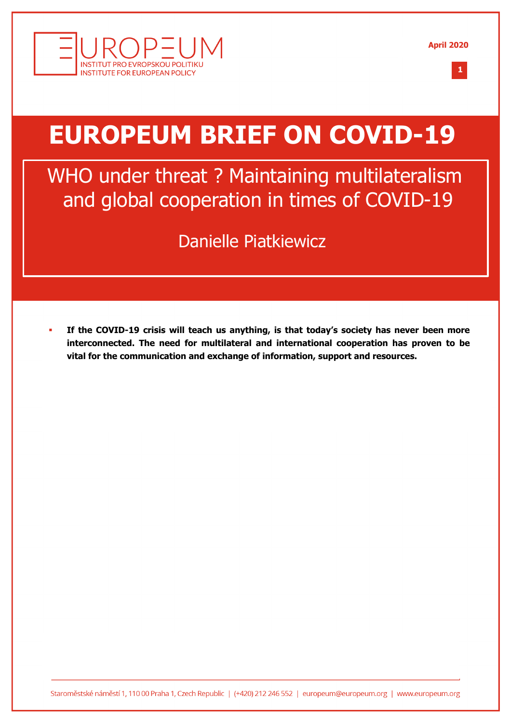



# **EUROPEUM BRIEF ON COVID-19**

WHO under threat ? Maintaining multilateralism and global cooperation in times of COVID-19

Danielle Piatkiewicz

§ **If the COVID-19 crisis will teach us anything, is that today's society has never been more interconnected. The need for multilateral and international cooperation has proven to be vital for the communication and exchange of information, support and resources.**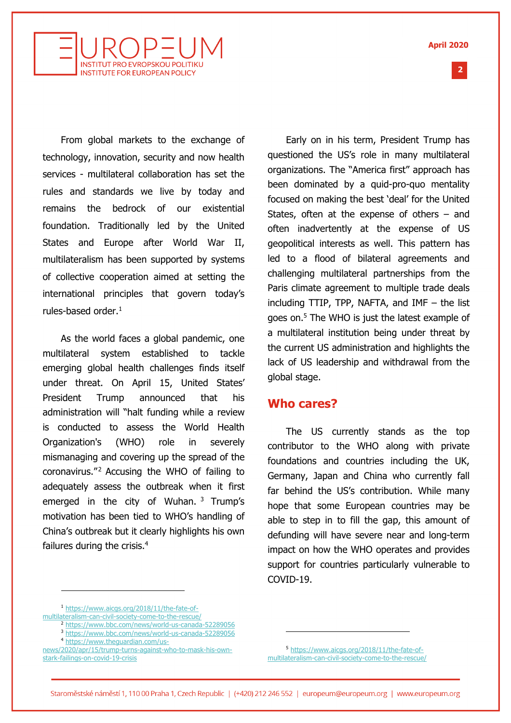**April 2020**



From global markets to the exchange of technology, innovation, security and now health services - multilateral collaboration has set the rules and standards we live by today and remains the bedrock of our existential foundation. Traditionally led by the United States and Europe after World War II, multilateralism has been supported by systems of collective cooperation aimed at setting the international principles that govern today's rules-based order. $<sup>1</sup>$ </sup>

As the world faces a global pandemic, one multilateral system established to tackle emerging global health challenges finds itself under threat. On April 15, United States' President Trump announced that his administration will "halt funding while a review is conducted to assess the World Health Organization's (WHO) role in severely mismanaging and covering up the spread of the coronavirus."<sup>2</sup> Accusing the WHO of failing to adequately assess the outbreak when it first emerged in the city of Wuhan.  $3$  Trump's motivation has been tied to WHO's handling of China's outbreak but it clearly highlights his own failures during the crisis. $4$ 

Early on in his term, President Trump has questioned the US's role in many multilateral organizations. The "America first" approach has been dominated by a quid-pro-quo mentality focused on making the best 'deal' for the United States, often at the expense of others – and often inadvertently at the expense of US geopolitical interests as well. This pattern has led to a flood of bilateral agreements and challenging multilateral partnerships from the Paris climate agreement to multiple trade deals including TTIP, TPP, NAFTA, and IMF – the list goes on.5 The WHO is just the latest example of a multilateral institution being under threat by the current US administration and highlights the lack of US leadership and withdrawal from the global stage.

#### **Who cares?**

The US currently stands as the top contributor to the WHO along with private foundations and countries including the UK, Germany, Japan and China who currently fall far behind the US's contribution. While many hope that some European countries may be able to step in to fill the gap, this amount of defunding will have severe near and long-term impact on how the WHO operates and provides support for countries particularly vulnerable to COVID-19.

<sup>1</sup> https://www.aicgs.org/2018/11/the-fate-ofmultilateralism-can-civil-society-come-to-the-rescue/

- <sup>2</sup> https://www.bbc.com/news/world-us-canada-52289056
- <sup>3</sup> https://www.bbc.com/news/world-us-canada-52289056
	- <sup>4</sup> https://www.theguardian.com/us-
- news/2020/apr/15/trump-turns-against-who-to-mask-his-ownstark-failings-on-covid-19-crisis

<sup>5</sup> https://www.aicgs.org/2018/11/the-fate-ofmultilateralism-can-civil-society-come-to-the-rescue/ **2 %**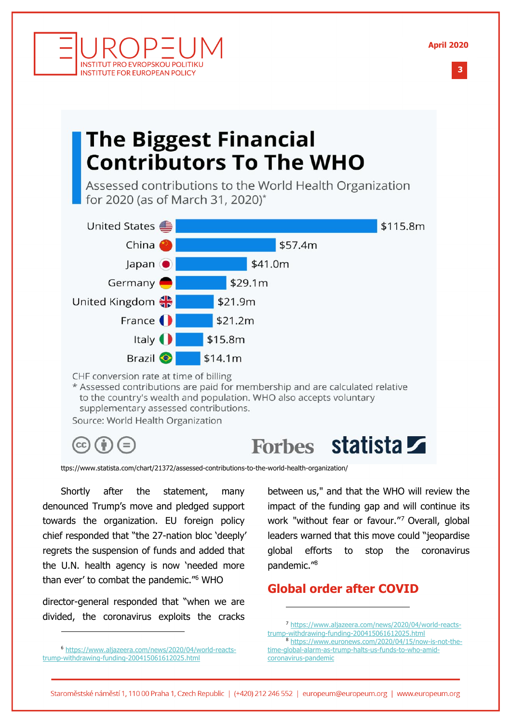**April 2020**



## **The Biggest Financial Contributors To The WHO**

Assessed contributions to the World Health Organization for 2020 (as of March 31, 2020)\*



supplementary assessed contributions.

Source: World Health Organization

**INSTITUT PRO EVROPSKOU POLITIKL INSTITUTE FOR EUROPEAN POLICY** 

## Forbes statista

ttps://www.statista.com/chart/21372/assessed-contributions-to-the-world-health-organization/

Shortly after the statement, many denounced Trump's move and pledged support towards the organization. EU foreign policy chief responded that "the 27-nation bloc 'deeply' regrets the suspension of funds and added that the U.N. health agency is now 'needed more than ever' to combat the pandemic."6 WHO

director-general responded that "when we are divided, the coronavirus exploits the cracks

between us," and that the WHO will review the impact of the funding gap and will continue its work "without fear or favour."7 Overall, global leaders warned that this move could "jeopardise global efforts to stop the coronavirus pandemic."8

#### **Global order after COVID**

<sup>7</sup> https://www.aljazeera.com/news/2020/04/world-reactstrump-withdrawing-funding-200415061612025.html <sup>8</sup> https://www.euronews.com/2020/04/15/now-is-not-thetime-global-alarm-as-trump-halts-us-funds-to-who-amid-

coronavirus-pandemic

<sup>6</sup> https://www.aljazeera.com/news/2020/04/world-reactstrump-withdrawing-funding-200415061612025.html

Staroměstské náměstí 1, 110 00 Praha 1, Czech Republic | (+420) 212 246 552 | europeum@europeum.org | www.europeum.org